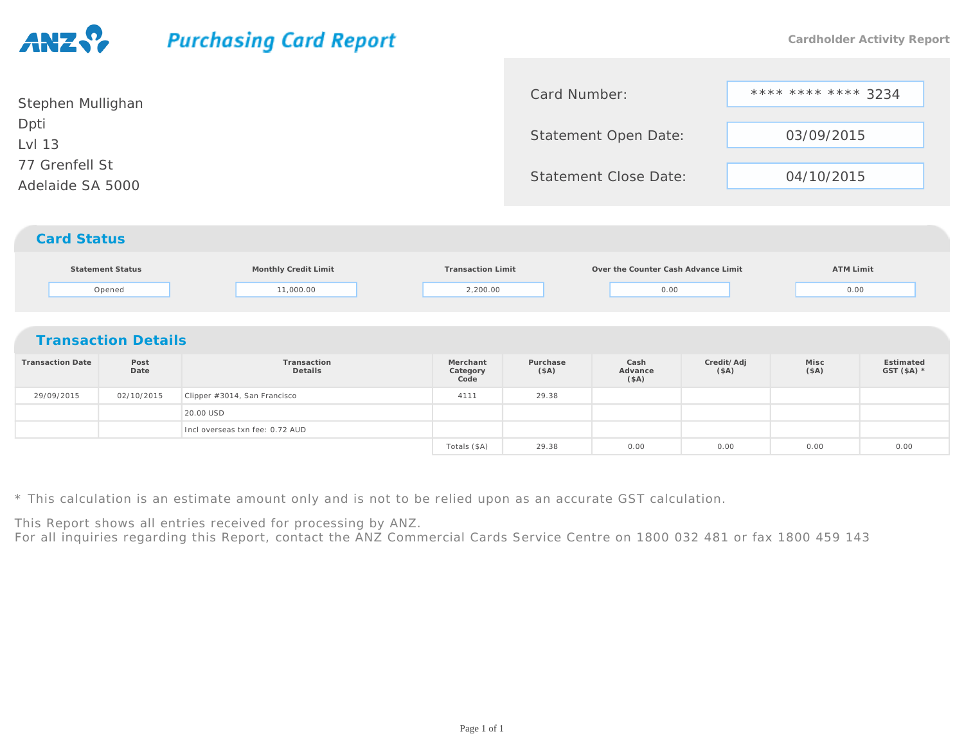## **Purchasing Card Report Cardholder Activity Report**Card Number:\*\*\*\* \*\*\*\* \*\*\*\* 3234<br>en Date: 03/09/2015 Stephen MullighanDptiStatement Open Date: $\begin{array}{c|c}\n \cdot & \text{03/09/2015}\n \end{array}$ Lvl 1377 Grenfell StStatement Close Date: 04/10/2015Adelaide SA 5000*Card Status***Statement Status Monthly Credit Limit Transaction Limit Over the Counter Cash Advance Limit ATM Limit** Openedd 11,000.00  $2,200.00$  0.00 0.00 0.00 0.00 *Transaction Details***Transaction DateTransactionMerchantPurchaseCashCredit/AdjMiscEstimated**e Post<br>Date<br>**Postage DateDetailsCategoryAdvance(\$A)(\$A)GST (\$A) \*(\$A)Code(\$A)**

| 0.00 |
|------|
|      |
|      |

\* This calculation is an estimate amount only and is not to be relied upon as an accurate GST calculation.

This Report shows all entries received for processing by ANZ.

For all inquiries regarding this Report, contact the ANZ Commercial Cards Service Centre on 1800 032 481 or fax 1800 459 143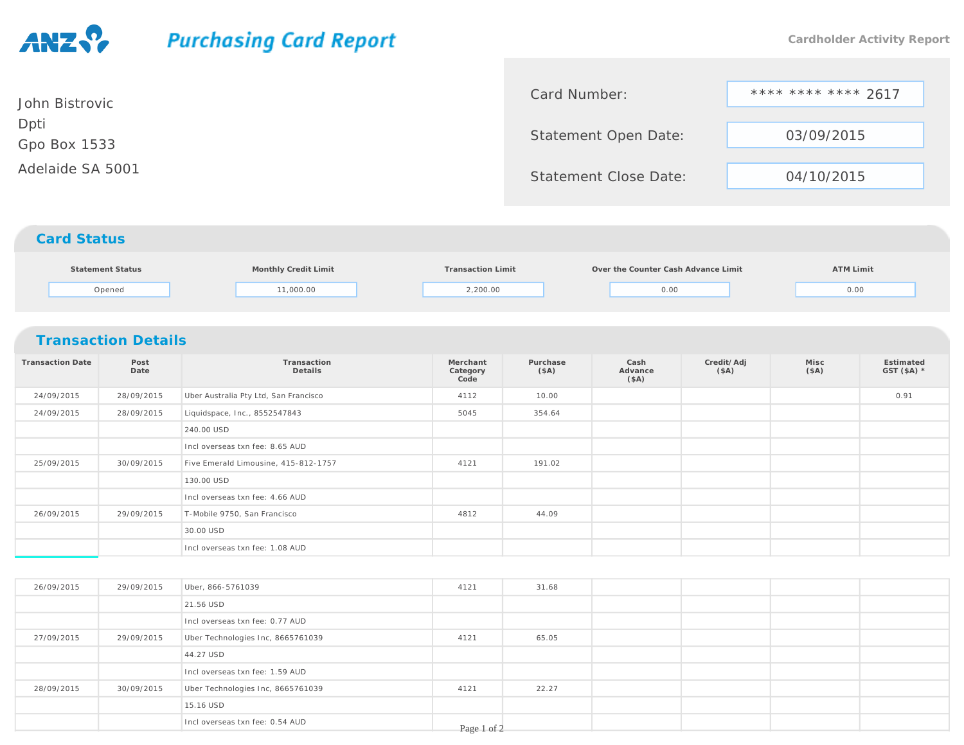## **Purchasing Card Report Cardholder Activity Report** \*\*\*\* \*\*\*\* \*\*\*\* 2617Card Number:John BistrovicDptiStatement Open Date: 03/09/2015 Gpo Box 1533Adelaide SA 5001Statement Close Date: 04/10/2015*Card Status***Statement StatusMonthly Credit Limit Transaction Limit Over the Counter Cash Advance Limit ATM Limit**

 $2,200.00$  0.00 0.00 0.00 0.00

|                         | <b>Transaction Details</b> |                                       |                              |                  |                         |                    |              |                      |
|-------------------------|----------------------------|---------------------------------------|------------------------------|------------------|-------------------------|--------------------|--------------|----------------------|
| <b>Transaction Date</b> | Post<br>Date               | Transaction<br>Details                | Merchant<br>Category<br>Code | Purchase<br>(SA) | Cash<br>Advance<br>(SA) | Credit/Adj<br>(SA) | Misc<br>(SA) | Estimated<br>GST(SA) |
| 24/09/2015              | 28/09/2015                 | Uber Australia Pty Ltd, San Francisco | 4112                         | 10.00            |                         |                    |              | 0.91                 |
| 24/09/2015              | 28/09/2015                 | Liquidspace, Inc., 8552547843         | 5045                         | 354.64           |                         |                    |              |                      |
|                         |                            | 240.00 USD                            |                              |                  |                         |                    |              |                      |
|                         |                            | Incl overseas txn fee: 8.65 AUD       |                              |                  |                         |                    |              |                      |
| 25/09/2015              | 30/09/2015                 | Five Emerald Limousine, 415-812-1757  | 4121                         | 191.02           |                         |                    |              |                      |
|                         |                            | 130.00 USD                            |                              |                  |                         |                    |              |                      |
|                         |                            | Incl overseas txn fee: 4.66 AUD       |                              |                  |                         |                    |              |                      |
| 26/09/2015              | 29/09/2015                 | T-Mobile 9750, San Francisco          | 4812                         | 44.09            |                         |                    |              |                      |
|                         |                            | 30.00 USD                             |                              |                  |                         |                    |              |                      |
|                         |                            | Incl overseas txn fee: 1.08 AUD       |                              |                  |                         |                    |              |                      |

Opened

d 11,000.00

| 26/09/2015 | 29/09/2015 | Uber, 866-5761039                 | 4121        | 31.68 |  |  |
|------------|------------|-----------------------------------|-------------|-------|--|--|
|            |            | 21.56 USD                         |             |       |  |  |
|            |            | Incl overseas txn fee: 0.77 AUD   |             |       |  |  |
| 27/09/2015 | 29/09/2015 | Uber Technologies Inc, 8665761039 | 4121        | 65.05 |  |  |
|            |            | 44.27 USD                         |             |       |  |  |
|            |            | Incl overseas txn fee: 1.59 AUD   |             |       |  |  |
| 28/09/2015 | 30/09/2015 | Uber Technologies Inc, 8665761039 | 4121        | 22.27 |  |  |
|            |            | 15.16 USD                         |             |       |  |  |
|            |            | Incl overseas txn fee: 0.54 AUD   | Page 1 of 2 |       |  |  |